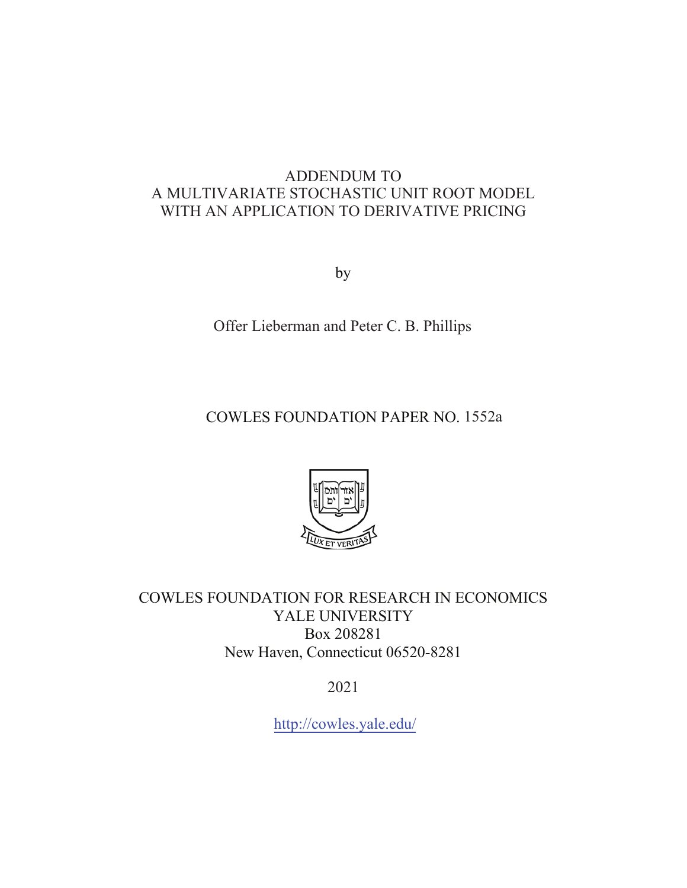## ADDENDUM TO A MULTIVARIATE STOCHASTIC UNIT ROOT MODEL WITH AN APPLICATION TO DERIVATIVE PRICING

by

Offer Lieberman and Peter C. B. Phillips

COWLES FOUNDATION PAPER NO. 1552a



COWLES FOUNDATION FOR RESEARCH IN ECONOMICS YALE UNIVERSITY Box 208281 New Haven, Connecticut 06520-8281

2021

<http://cowles.yale.edu>/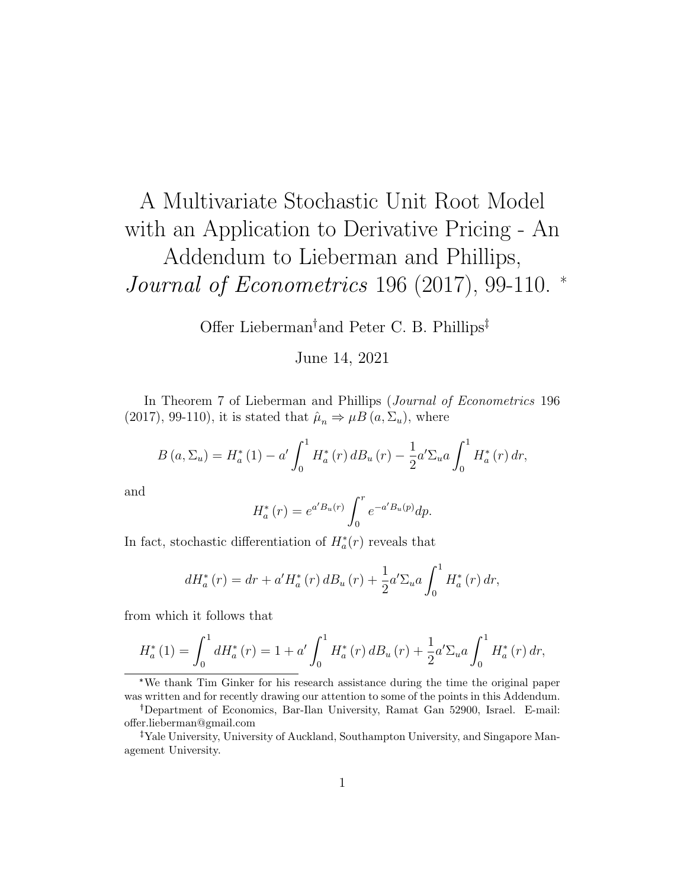## A Multivariate Stochastic Unit Root Model with an Application to Derivative Pricing - An Addendum to Lieberman and Phillips, Journal of Econometrics 196 (2017), 99-110. \*

Offer Lieberman<sup>†</sup> and Peter C. B. Phillips<sup>‡</sup>

## June 14, 2021

In Theorem 7 of Lieberman and Phillips (Journal of Econometrics 196 (2017), 99-110), it is stated that  $\hat{\mu}_n \Rightarrow \mu B(a, \Sigma_u)$ , where

$$
B(a,\Sigma_u) = H_a^*(1) - a' \int_0^1 H_a^*(r) \, dB_u(r) - \frac{1}{2} a' \Sigma_u a \int_0^1 H_a^*(r) \, dr,
$$

and

$$
H_a^*(r) = e^{a'B_u(r)} \int_0^r e^{-a'B_u(p)} dp.
$$

In fact, stochastic differentiation of  $H_a^*(r)$  reveals that

$$
dH_{a}^{*}(r) = dr + a'H_{a}^{*}(r) dB_{u}(r) + \frac{1}{2}a'\Sigma_{u}a\int_{0}^{1}H_{a}^{*}(r) dr,
$$

from which it follows that

$$
H_{a}^{*}(1) = \int_{0}^{1} dH_{a}^{*}(r) = 1 + a' \int_{0}^{1} H_{a}^{*}(r) dB_{u}(r) + \frac{1}{2} a' \Sigma_{u} a \int_{0}^{1} H_{a}^{*}(r) dr,
$$

\*We thank Tim Ginker for his research assistance during the time the original paper was written and for recently drawing our attention to some of the points in this Addendum.

Department of Economics, Bar-Ilan University, Ramat Gan 52900, Israel. E-mail: offer.lieberman@gmail.com

Yale University, University of Auckland, Southampton University, and Singapore Management University.